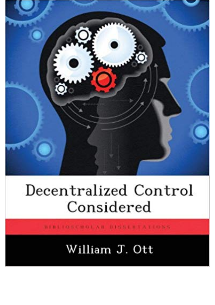

## Decentralized Control Considered

BIBLIOSCHOLAR DISSERTATIONS

## William J. Ott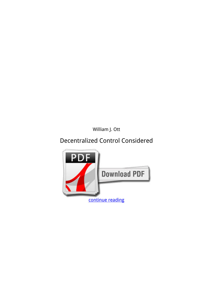*William J. Ott*

## **Decentralized Control Considered**

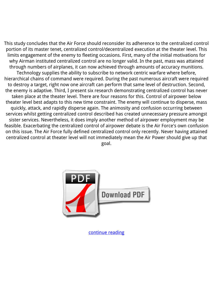This study concludes that the Air Force should reconsider its adherence to the centralized control portion of its master tenet, centralized control/decentralized execution at the theater level. This limits engagement of the enemy to fleeting occasions. First, many of the initial motivations for why Airman instituted centralized control are no longer valid. In the past, mass was attained through numbers of airplanes, it can now achieved through amounts of accuracy munitions. Technology supplies the ability to subscribe to network centric warfare where before, hierarchical chains of command were required. During the past numerous aircraft were required to destroy a target, right now one aircraft can perform that same level of destruction. Second, the enemy is adaptive. Third, I present six research demonstrating centralized control has never taken place at the theater level. There are four reasons for this. Control of airpower below theater level best adapts to this new time constraint. The enemy will continue to disperse, mass quickly, attack, and rapidly disperse again. The animosity and confusion occurring between services whilst getting centralized control described has created unnecessary pressure amongst sister services. Nevertheless, it does imply another method of airpower employment may be feasible. Exacerbating the centralized control of airpower debate is the Air Force's own confusion on this issue. The Air Force fully defined centralized control only recently. Never having attained centralized control at theater level will not immediately mean the Air Power should give up that goal.



[continue reading](http://bit.ly/2Tge8Fv)